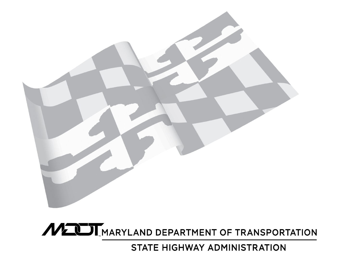

MUIL MARYLAND DEPARTMENT OF TRANSPORTATION

STATE HIGHWAY ADMINISTRATION